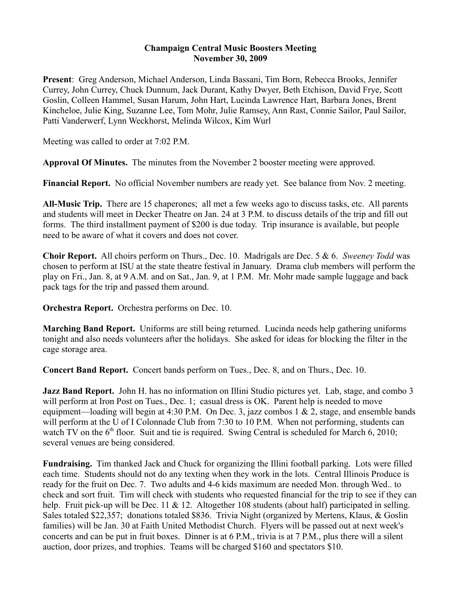## **Champaign Central Music Boosters Meeting November 30, 2009**

**Present**: Greg Anderson, Michael Anderson, Linda Bassani, Tim Born, Rebecca Brooks, Jennifer Currey, John Currey, Chuck Dunnum, Jack Durant, Kathy Dwyer, Beth Etchison, David Frye, Scott Goslin, Colleen Hammel, Susan Harum, John Hart, Lucinda Lawrence Hart, Barbara Jones, Brent Kincheloe, Julie King, Suzanne Lee, Tom Mohr, Julie Ramsey, Ann Rast, Connie Sailor, Paul Sailor, Patti Vanderwerf, Lynn Weckhorst, Melinda Wilcox, Kim Wurl

Meeting was called to order at 7:02 P.M.

**Approval Of Minutes.** The minutes from the November 2 booster meeting were approved.

**Financial Report.** No official November numbers are ready yet. See balance from Nov. 2 meeting.

**All-Music Trip.** There are 15 chaperones; all met a few weeks ago to discuss tasks, etc. All parents and students will meet in Decker Theatre on Jan. 24 at 3 P.M. to discuss details of the trip and fill out forms. The third installment payment of \$200 is due today. Trip insurance is available, but people need to be aware of what it covers and does not cover.

**Choir Report.** All choirs perform on Thurs., Dec. 10. Madrigals are Dec. 5 & 6. *Sweeney Todd* was chosen to perform at ISU at the state theatre festival in January. Drama club members will perform the play on Fri., Jan. 8, at 9 A.M. and on Sat., Jan. 9, at 1 P.M. Mr. Mohr made sample luggage and back pack tags for the trip and passed them around.

**Orchestra Report.** Orchestra performs on Dec. 10.

**Marching Band Report.** Uniforms are still being returned. Lucinda needs help gathering uniforms tonight and also needs volunteers after the holidays. She asked for ideas for blocking the filter in the cage storage area.

**Concert Band Report.** Concert bands perform on Tues., Dec. 8, and on Thurs., Dec. 10.

**Jazz Band Report.** John H. has no information on Illini Studio pictures yet. Lab, stage, and combo 3 will perform at Iron Post on Tues., Dec. 1; casual dress is OK. Parent help is needed to move equipment—loading will begin at 4:30 P.M. On Dec. 3, jazz combos 1 & 2, stage, and ensemble bands will perform at the U of I Colonnade Club from 7:30 to 10 P.M. When not performing, students can watch TV on the  $6<sup>th</sup>$  floor. Suit and tie is required. Swing Central is scheduled for March 6, 2010; several venues are being considered.

**Fundraising.** Tim thanked Jack and Chuck for organizing the Illini football parking. Lots were filled each time. Students should not do any texting when they work in the lots. Central Illinois Produce is ready for the fruit on Dec. 7. Two adults and 4-6 kids maximum are needed Mon. through Wed.. to check and sort fruit. Tim will check with students who requested financial for the trip to see if they can help. Fruit pick-up will be Dec. 11 & 12. Altogether 108 students (about half) participated in selling. Sales totaled \$22,357; donations totaled \$836. Trivia Night (organized by Mertens, Klaus, & Goslin families) will be Jan. 30 at Faith United Methodist Church. Flyers will be passed out at next week's concerts and can be put in fruit boxes. Dinner is at 6 P.M., trivia is at 7 P.M., plus there will a silent auction, door prizes, and trophies. Teams will be charged \$160 and spectators \$10.